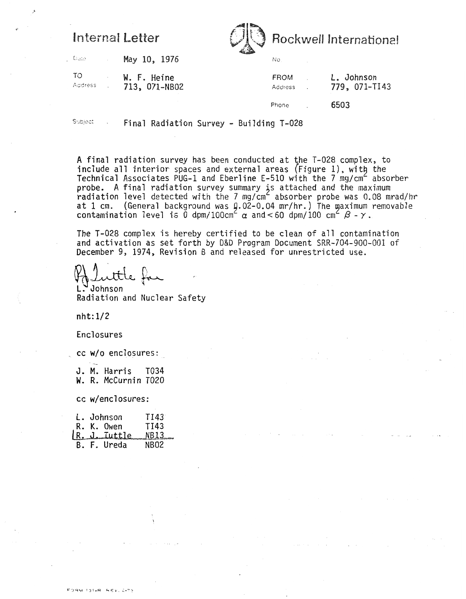## Internal Letter



Date May 10, 1976

TO W. F. Heine Address 713, 071-NB02

L. Johnson FROM **Address** . 779, 071-TI43 6503 Phone

Subject . Final Radiation Survey - Building T-028

A final radiation survey has been conducted at the T-028 complex, to include all interior spaces and external areas (Figure 1), with the Technical Associates PUG-1 and Eberline E-510 with the 7 mg/cm<sup> $\epsilon$ </sup> absorber probe. **A** final radiation survey summary js attached and the maximum radiation level detected with the 7 mg/cm $^{\mathsf{c}}$  absorber probe was 0.08 mrad/hr at 1 cm. (General background was Q.02-0.04 mr/hr.) The maximum removable contamination level is  $\ddot{\text{o}}$  dpm/100cm<sup>2</sup>  $\alpha$  and < 60 dpm/100 cm<sup>2</sup>  $\beta$  -  $\gamma$ .

The T-028 complex is hereby certified to be clean of all contamination and activation as set forth by D&D Program Document SRR-704-900-001 of December 9, 1974, Revision B and released for unrestricted use.<br>A Luttle for

L. Johnson

Radiation and Nuclear Safety

nht: 1/2

#### Enclosures

--

cc **W/O** enclosures:

J. **M.** Harris TO34 **W.** R. McCurnin TO20

cc w/enclosures:

|  | L. Johnson            | TI43 |
|--|-----------------------|------|
|  | .R. K. Owen           | TI43 |
|  | $R.$ ). Tuttle $NB13$ |      |
|  | B. F. Ureda           | NBO2 |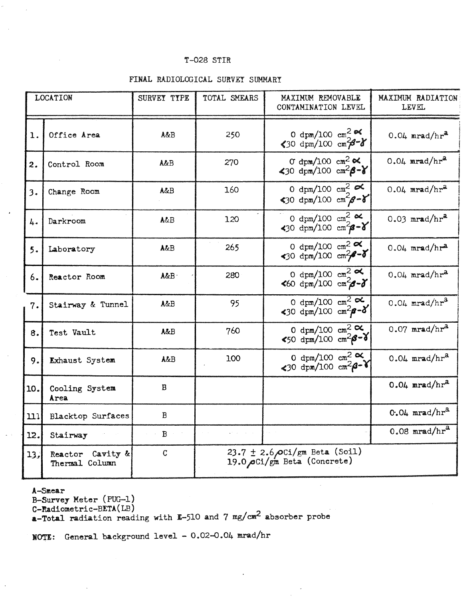#### T-028 STIR

#### FINAL RADIOLOGICAL SURVEY SUMMARY

| <b>LOCATION</b> |                                    | SURVEY TYPE            | TOTAL SMEARS                                                     | MAXIMUM REMOVABLE<br>CONTAMINATION LEVEL                                                     | <b>MAXIMUM RADIATION</b><br><b>LEVEL</b> |  |  |
|-----------------|------------------------------------|------------------------|------------------------------------------------------------------|----------------------------------------------------------------------------------------------|------------------------------------------|--|--|
| $\mathbf 1$ .   | Office Area                        | A&B                    | 250                                                              | 0 dpm/100 cm <sup>2</sup> $\propto$<br>$30 \text{ dyn}/100 \text{ cm}/3 - 8$                 | $0.04$ mrad/hr <sup>a</sup>              |  |  |
| 2.              | Control Room                       | A&B                    | 270                                                              | O dpm/100 cm <sup>2</sup> $\alpha$<br>$30 \text{ dyn}/100 \text{ cm}^2\beta - Y$             | $0.04$ mrad/hr <sup>a</sup>              |  |  |
| 3.              | Change Room                        | A&B                    | 160                                                              | 0 dpm/100 cm <sup>2</sup> $\approx$<br>$30 \text{ dyn}/100 \text{ cm}^2/\text{g}-\text{g}^2$ | $0.04$ mrad/hr <sup>a</sup>              |  |  |
| 4.              | Darkroom                           | <b>A&amp;B</b>         | 120                                                              | 0 dpm/100 cm <sup>2</sup> $\alpha$<br>$30 \text{ dyn}/100 \text{ cm}^2\beta - \delta$        | $0.03$ mrad/hr <sup>a</sup>              |  |  |
| 5.              | Laboratory                         | A&B                    | 265                                                              | 0 dpm/100 cm <sup>2</sup> $\alpha$<br>$30 \text{ dyn}/100 \text{ cm}^2\text{ s}^3$           | $0.04$ mrad/hr <sup>a</sup>              |  |  |
| 6.              | Reactor Room                       | A&B.                   | 280                                                              | 0 dpm/100 cm <sup>2</sup> $\alpha$<br>$460 \text{ dyn}/100 \text{ cm}^2 - \delta$            | $0.04$ mrad/hr <sup>a</sup>              |  |  |
| 7.              | Stairway & Tunnel                  | <b>A&amp;B</b>         | 95                                                               | 0 dpm/100 cm <sup>2</sup> $\alpha$<br>$30 \text{ dyn}/100 \text{ cm}^2\beta - \delta$        | $0.04$ mrad/hr <sup>3</sup>              |  |  |
| 8.              | Test Vault                         | A&B                    | 760                                                              | 0 dpm/100 cm <sup>2</sup> $\alpha$<br>$$50 \text{ dyn}/100 \text{ cm}^2\beta - 8$            | $0.07$ mrad/hr <sup>a</sup>              |  |  |
| 9.              | <b>Exhaust System</b>              | A&B                    | 100                                                              | 0 dpm/100 cm <sup>2</sup> $\alpha$<br>$30 \text{ dyn}/100 \text{ cm}^2\beta - 1$             | $0.04$ mrad/hr <sup>a</sup>              |  |  |
| 10.             | Cooling System<br>Area             | B                      |                                                                  |                                                                                              | $0.04$ mrad/hr <sup>a</sup>              |  |  |
| 111             | <b>Blacktop Surfaces</b>           | B                      |                                                                  |                                                                                              | $0.04 \text{ mrad/hr}^3$                 |  |  |
| 12.             | Stairway                           | $\mathbf{B}$<br>$\sim$ |                                                                  |                                                                                              | $0.08$ mrad/hr <sup>a</sup>              |  |  |
| 13.             | Reactor Cavity &<br>Thermal Column | $\mathbf C$            | 23.7 $\pm$ 2.6 OCi/gm Beta (Soil)<br>19.0 OCi/gm Beta (Concrete) |                                                                                              |                                          |  |  |

A-Smear

B-Survey Meter (PUG-1)<br>C-Radiometric-BETA(LB)

a-Total radiation reading with E-510 and 7 mg/cm<sup>2</sup> absorber probe

NOTE: General background level - 0.02-0.04 mrad/hr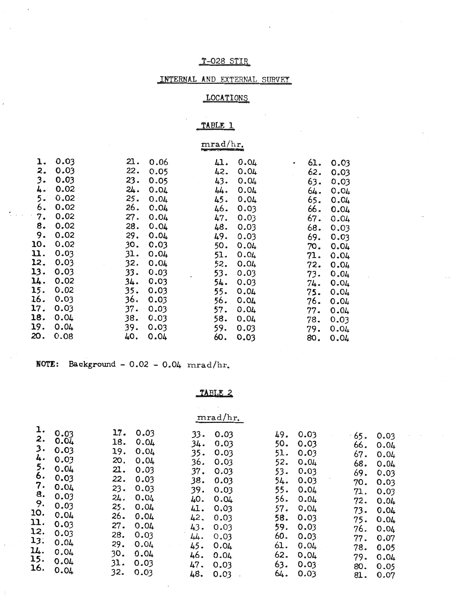### T-028 STIR

### INTERNAL AND EXTERNAL SURVEY

## LOCATIONS

## TABLE 1

# mrad/hr.

| ı.  | 0.03 | 21. | 0.06 | 41. | 0.04 | ø | 61. | 0.03 |
|-----|------|-----|------|-----|------|---|-----|------|
| 2.  | 0.03 | 22. | 0.05 | 42. | 0.04 |   | 62. | 0.03 |
| 3.  | 0.03 | 23. | 0.05 | 43. | 0.04 |   | 63. | 0.03 |
| 4.  | 0.02 | 24. | 0.04 | 44. | 0.04 |   | 64. | 0.04 |
| 5.  | 0.02 | 25. | 0.04 | 45. | 0.04 |   | 65. | 0.04 |
| 6.  | 0.02 | 26. | 0.04 | 46. | 0.03 |   | 66. | 0.04 |
| 7.  | 0.02 | 27. | 0.04 | 47. | 0.03 |   | 67. | 0.04 |
| 8.  | 0.02 | 28. | 0.04 | 48. | 0.03 |   | 68. | 0.03 |
| 9.  | 0.02 | 29. | 0.04 | 49. | 0.03 |   | 69. | 0.03 |
| 10. | 0.02 | 30. | 0.03 | 50. | 0.04 |   | 70. | 0.04 |
| u.  | 0.03 | 31. | 0.04 | 51. | 0.04 |   | 71. | 0.04 |
| 12. | 0.03 | 32. | 0.04 | 52. | 0.04 |   | 72. | 0.04 |
| 13. | 0.03 | 33. | 0.03 | 53. | 0.03 |   | 73. | 0.04 |
| 14. | 0.02 | 34. | 0.03 | 54. | 0.03 |   | 74. | 0.04 |
| 15. | 0.02 | 35. | 0.03 | 55. | 0.04 |   | 75. | 0.04 |
| 16. | 0.03 | 36. | 0.03 | 56. | 0.04 |   | 76. | 0.04 |
| 17. | 0.03 | 37. | 0.03 | 57. | 0.04 |   | 77. | 0.04 |
| 18. | 0.04 | 38. | 0.03 | 58. | 0.04 |   | 78. | 0.03 |
| 19. | 0.04 | 39. | 0.03 | 59. | 0.03 |   | 79. | 0.04 |
| 20. | 0.08 | 40. | 0.04 | 60. | 0.03 |   | 80. | 0.04 |

NOTE: Background -  $0.02 - 0.04$  mrad/hr.

TABLE 2

|                                                                          |                              |                          |                              |                          | mrad/hr.                     |                          |                              |                          |                              |
|--------------------------------------------------------------------------|------------------------------|--------------------------|------------------------------|--------------------------|------------------------------|--------------------------|------------------------------|--------------------------|------------------------------|
| l.<br>2.<br>3.                                                           | 0.03<br>0.04<br>0.03         | 17.<br>18.<br>19.        | 0.03<br>0.04<br>0.04         | 33.<br>34.<br>$35 -$     | 0.03<br>0.03<br>0.03         | 49.<br>50.<br>51.        | 0.03<br>0.03<br>0.03         | 65.<br>66.<br>67.        | 0.03<br>0.04<br>0.04         |
| 4.<br>5.<br>6.<br>7.<br>8.<br>9.<br>10.<br>$\mathfrak{u}.$<br>12.<br>13. | 0.03<br>0.04<br>0.03         | 20.<br>21.<br>22.        | 0.04<br>0.03<br>0.03         | 36.<br>37.<br>38.        | 0.03<br>0.03<br>0.03         | 52.<br>53.<br>54.        | 0.04<br>0.03<br>0.03         | 68.<br>69.<br>70.        | 0.04<br>0.03<br>0.03         |
|                                                                          | 0.04<br>0.03<br>0.03         | 23.<br>24.<br>25.        | 0.03<br>0.04<br>0.04         | 39.<br>40.<br>41.        | 0.03<br>0.04<br>0.03         | 55.<br>56.<br>57.        | 0.04<br>0.04<br>0.04         | 71.<br>72.<br>73.        | 0.03<br>0.04<br>0.04         |
|                                                                          | 0.04<br>0.03<br>0.03<br>0.04 | 26.<br>27.<br>28.        | 0.04<br>0.04<br>0.03         | 42.<br>43.<br>44.        | 0.03<br>0.03<br>0.03         | 58.<br>59.<br>60.        | 0.03<br>0.03<br>0.03         | 75.<br>76.<br>77.        | 0.04<br>0.04<br>0.07         |
| 14.<br>15.<br>16.                                                        | 0.04<br>0.04<br>0.04         | 29.<br>30.<br>31.<br>32. | 0.04<br>0.04<br>0.03<br>0.03 | 45.<br>46.<br>47.<br>48. | 0.04<br>0.04<br>0.03<br>0.03 | 61.<br>62.<br>63.<br>64. | 0.04<br>0.04<br>0.03<br>0.03 | 78.<br>79.<br>80.<br>81. | 0.05<br>0.04<br>0.05<br>0.07 |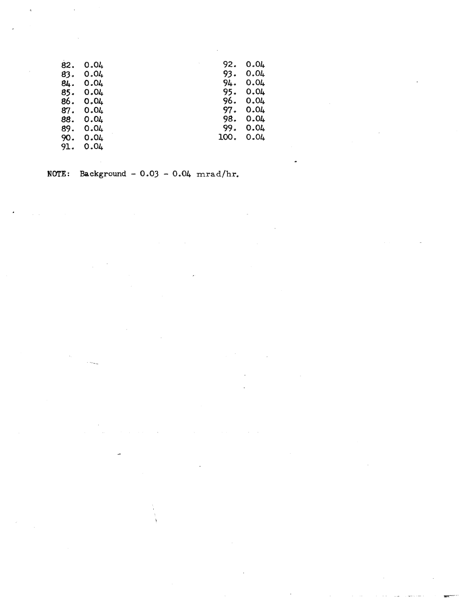| 82. | 0.04 | 92.  | 0.04 |
|-----|------|------|------|
| 83. | 0.04 | 93.  | 0.04 |
| 84. | 0.04 | 94.  | 0.04 |
| 85. | 0.04 | 95.  | 0.04 |
| 86. | 0.04 | 96.  | 0.04 |
| 87. | 0.04 | 97.  | 0.04 |
| 88. | 0.04 | 98.  | 0.04 |
| 89. | 0.04 | 99.  | 0.04 |
| 90. | 0.04 | 100. | 0.04 |
| 91. | 0.04 |      |      |

NOTE: Background -  $0.03 - 0.04$  mrad/hr.

**County**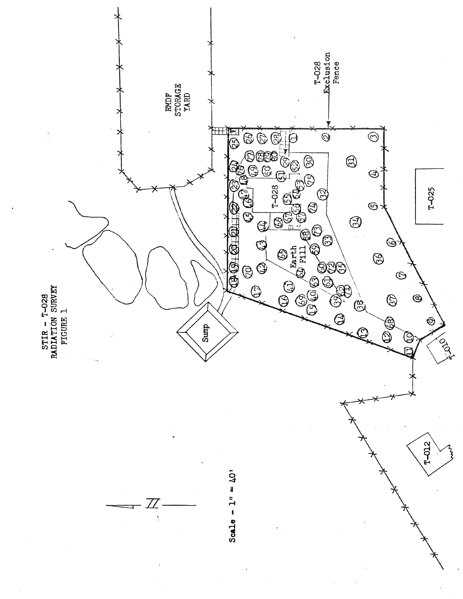